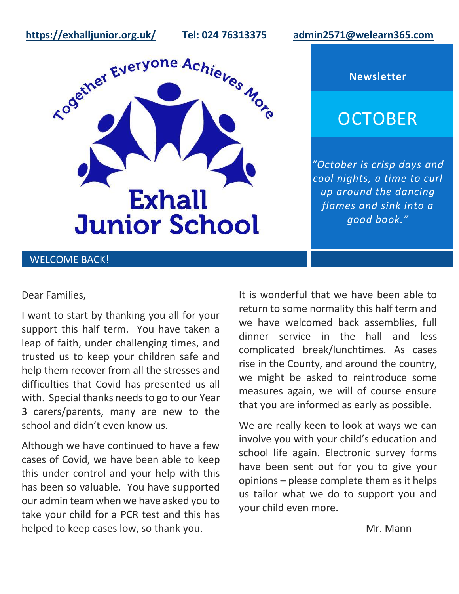**<https://exhalljunior.org.uk/>Tel: 024 76313375 [admin2571@welearn365.com](mailto:admin2571@welearn365.com)**



## **Newsletter**

# **OCTOBER**

*"October is crisp days and cool nights, a time to curl up around the dancing flames and sink into a good book."*

## WELCOME BACK!

## Dear Families,

I want to start by thanking you all for your support this half term. You have taken a leap of faith, under challenging times, and trusted us to keep your children safe and help them recover from all the stresses and difficulties that Covid has presented us all with. Special thanks needs to go to our Year 3 carers/parents, many are new to the school and didn't even know us.

Although we have continued to have a few cases of Covid, we have been able to keep this under control and your help with this has been so valuable. You have supported our admin team when we have asked you to take your child for a PCR test and this has helped to keep cases low, so thank you.

It is wonderful that we have been able to return to some normality this half term and we have welcomed back assemblies, full dinner service in the hall and less complicated break/lunchtimes. As cases rise in the County, and around the country, we might be asked to reintroduce some measures again, we will of course ensure that you are informed as early as possible.

We are really keen to look at ways we can involve you with your child's education and school life again. Electronic survey forms have been sent out for you to give your opinions – please complete them as it helps us tailor what we do to support you and your child even more.

Mr. Mann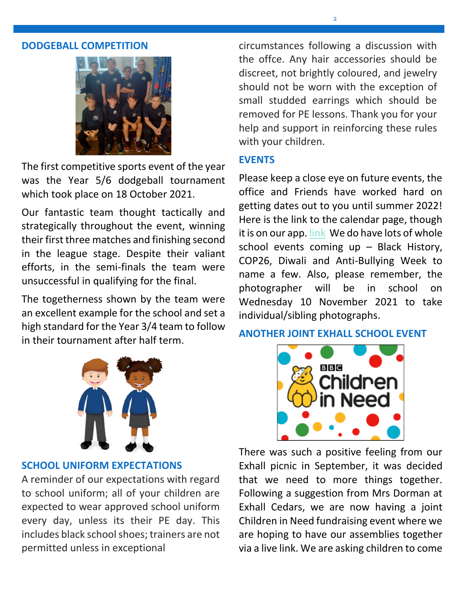#### **DODGEBALL COMPETITION**



The first competitive sports event of the year was the Year 5/6 dodgeball tournament which took place on 18 October 2021.

Our fantastic team thought tactically and strategically throughout the event, winning their first three matches and finishing second in the league stage. Despite their valiant efforts, in the semi-finals the team were unsuccessful in qualifying for the final.

The togetherness shown by the team were an excellent example for the school and set a high standard for the Year 3/4 team to follow in their tournament after half term.



## **SCHOOL UNIFORM EXPECTATIONS**

A reminder of our expectations with regard to school uniform; all of your children are expected to wear approved school uniform every day, unless its their PE day. This includes black school shoes; trainers are not permitted unless in exceptional

circumstances following a discussion with the offce. Any hair accessories should be discreet, not brightly coloured, and jewelry should not be worn with the exception of small studded earrings which should be removed for PE lessons. Thank you for your help and support in reinforcing these rules with your children.

## **EVENTS**

Please keep a close eye on future events, the office and Friends have worked hard on getting dates out to you until summer 2022! Here is the link to the calendar page, though it is on our app. [link](https://exhalljunior.org.uk/calendar) We do have lots of whole school events coming up – Black History, COP26, Diwali and Anti-Bullying Week to name a few. Also, please remember, the photographer will be in school on Wednesday 10 November 2021 to take individual/sibling photographs.

## **ANOTHER JOINT EXHALL SCHOOL EVENT**



There was such a positive feeling from our Exhall picnic in September, it was decided that we need to more things together. Following a suggestion from Mrs Dorman at Exhall Cedars, we are now having a joint Children in Need fundraising event where we are hoping to have our assemblies together via a live link. We are asking children to come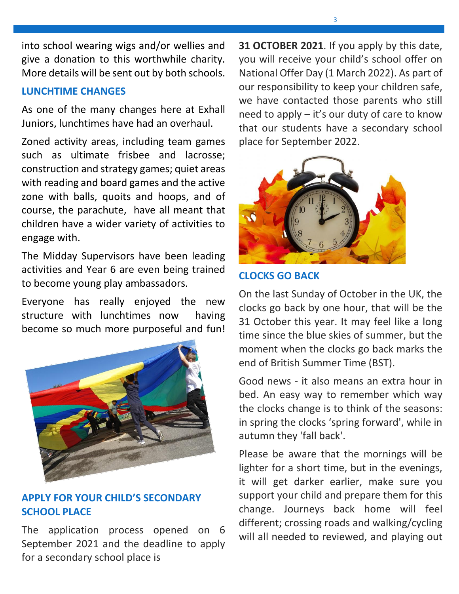into school wearing wigs and/or wellies and give a donation to this worthwhile charity. More details will be sent out by both schools.

## **LUNCHTIME CHANGES**

As one of the many changes here at Exhall Juniors, lunchtimes have had an overhaul.

Zoned activity areas, including team games such as ultimate frisbee and lacrosse; construction and strategy games; quiet areas with reading and board games and the active zone with balls, quoits and hoops, and of course, the parachute, have all meant that children have a wider variety of activities to engage with.

The Midday Supervisors have been leading activities and Year 6 are even being trained to become young play ambassadors.

Everyone has really enjoyed the new structure with lunchtimes now having become so much more purposeful and fun!



## **APPLY FOR YOUR CHILD'S SECONDARY SCHOOL PLACE**

The application process opened on 6 September 2021 and the deadline to apply for a secondary school place is

**31 OCTOBER 2021**. If you apply by this date, you will receive your child's school offer on National Offer Day (1 March 2022). As part of our responsibility to keep your children safe, we have contacted those parents who still need to apply – it's our duty of care to know that our students have a secondary school place for September 2022.



## **CLOCKS GO BACK**

On the last Sunday of October in the UK, the clocks go back by one hour, that will be the 31 October this year. It may feel like a long time since the blue skies of summer, but the moment when the clocks go back marks the end of British Summer Time (BST).

Good news - it also means an extra hour in bed. An easy way to remember which way the clocks change is to think of the seasons: in spring the clocks 'spring forward', while in autumn they 'fall back'.

Please be aware that the mornings will be lighter for a short time, but in the evenings, it will get darker earlier, make sure you support your child and prepare them for this change. Journeys back home will feel different; crossing roads and walking/cycling will all needed to reviewed, and playing out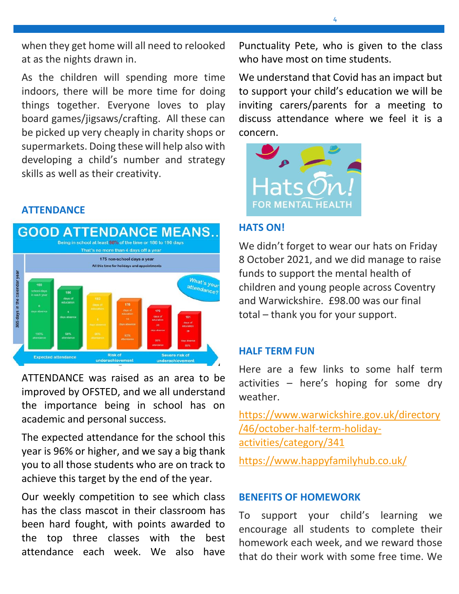when they get home will all need to relooked at as the nights drawn in.

As the children will spending more time indoors, there will be more time for doing things together. Everyone loves to play board games/jigsaws/crafting. All these can be picked up very cheaply in charity shops or supermarkets. Doing these will help also with developing a child's number and strategy skills as well as their creativity.

## **ATTENDANCE**



ATTENDANCE was raised as an area to be improved by OFSTED, and we all understand the importance being in school has on academic and personal success.

The expected attendance for the school this year is 96% or higher, and we say a big thank you to all those students who are on track to achieve this target by the end of the year.

Our weekly competition to see which class has the class mascot in their classroom has been hard fought, with points awarded to the top three classes with the best attendance each week. We also have Punctuality Pete, who is given to the class who have most on time students.

We understand that Covid has an impact but to support your child's education we will be inviting carers/parents for a meeting to discuss attendance where we feel it is a concern.



## **HATS ON!**

We didn't forget to wear our hats on Friday 8 October 2021, and we did manage to raise funds to support the mental health of children and young people across Coventry and Warwickshire. £98.00 was our final total – thank you for your support.

### **HALF TERM FUN**

Here are a few links to some half term activities – here's hoping for some dry weather.

[https://www.warwickshire.gov.uk/directory](https://www.warwickshire.gov.uk/directory/46/october-half-term-holiday-activities/category/341) [/46/october-half-term-holiday](https://www.warwickshire.gov.uk/directory/46/october-half-term-holiday-activities/category/341)[activities/category/341](https://www.warwickshire.gov.uk/directory/46/october-half-term-holiday-activities/category/341)

<https://www.happyfamilyhub.co.uk/>

## **BENEFITS OF HOMEWORK**

To support your child's learning we encourage all students to complete their homework each week, and we reward those that do their work with some free time. We